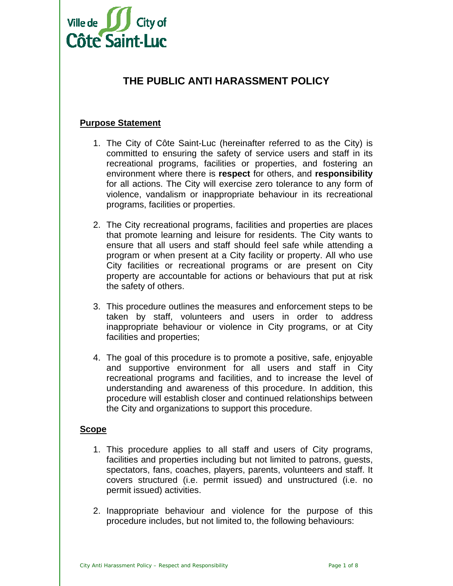

# **THE PUBLIC ANTI HARASSMENT POLICY**

# **Purpose Statement**

- 1. The City of Côte Saint-Luc (hereinafter referred to as the City) is committed to ensuring the safety of service users and staff in its recreational programs, facilities or properties, and fostering an environment where there is **respect** for others, and **responsibility** for all actions. The City will exercise zero tolerance to any form of violence, vandalism or inappropriate behaviour in its recreational programs, facilities or properties.
- 2. The City recreational programs, facilities and properties are places that promote learning and leisure for residents. The City wants to ensure that all users and staff should feel safe while attending a program or when present at a City facility or property. All who use City facilities or recreational programs or are present on City property are accountable for actions or behaviours that put at risk the safety of others.
- 3. This procedure outlines the measures and enforcement steps to be taken by staff, volunteers and users in order to address inappropriate behaviour or violence in City programs, or at City facilities and properties;
- 4. The goal of this procedure is to promote a positive, safe, enjoyable and supportive environment for all users and staff in City recreational programs and facilities, and to increase the level of understanding and awareness of this procedure. In addition, this procedure will establish closer and continued relationships between the City and organizations to support this procedure.

# **Scope**

- 1. This procedure applies to all staff and users of City programs, facilities and properties including but not limited to patrons, guests, spectators, fans, coaches, players, parents, volunteers and staff. It covers structured (i.e. permit issued) and unstructured (i.e. no permit issued) activities.
- 2. Inappropriate behaviour and violence for the purpose of this procedure includes, but not limited to, the following behaviours: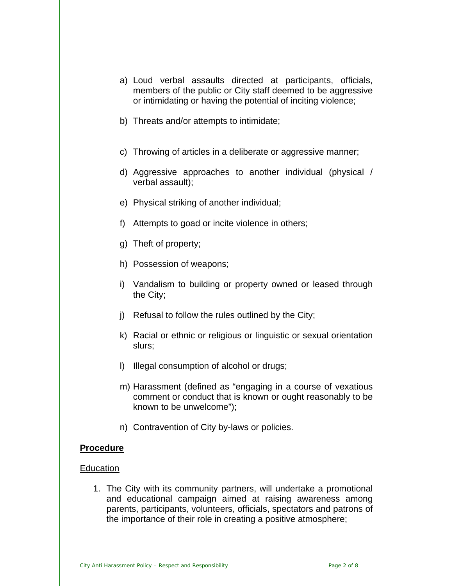- a) Loud verbal assaults directed at participants, officials, members of the public or City staff deemed to be aggressive or intimidating or having the potential of inciting violence;
- b) Threats and/or attempts to intimidate;
- c) Throwing of articles in a deliberate or aggressive manner;
- d) Aggressive approaches to another individual (physical / verbal assault);
- e) Physical striking of another individual;
- f) Attempts to goad or incite violence in others;
- g) Theft of property;
- h) Possession of weapons;
- i) Vandalism to building or property owned or leased through the City;
- j) Refusal to follow the rules outlined by the City;
- k) Racial or ethnic or religious or linguistic or sexual orientation slurs;
- l) Illegal consumption of alcohol or drugs;
- m) Harassment (defined as "engaging in a course of vexatious comment or conduct that is known or ought reasonably to be known to be unwelcome");
- n) Contravention of City by-laws or policies.

#### **Procedure**

#### **Education**

1. The City with its community partners, will undertake a promotional and educational campaign aimed at raising awareness among parents, participants, volunteers, officials, spectators and patrons of the importance of their role in creating a positive atmosphere;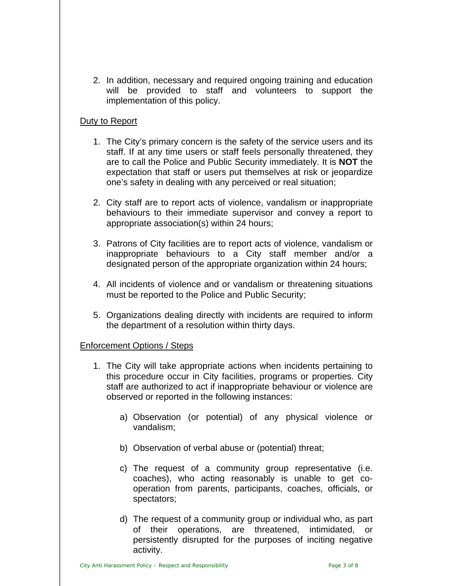2. In addition, necessary and required ongoing training and education will be provided to staff and volunteers to support the implementation of this policy.

# Duty to Report

- 1. The City's primary concern is the safety of the service users and its staff. If at any time users or staff feels personally threatened, they are to call the Police and Public Security immediately. It is **NOT** the expectation that staff or users put themselves at risk or jeopardize one's safety in dealing with any perceived or real situation;
- 2. City staff are to report acts of violence, vandalism or inappropriate behaviours to their immediate supervisor and convey a report to appropriate association(s) within 24 hours;
- 3. Patrons of City facilities are to report acts of violence, vandalism or inappropriate behaviours to a City staff member and/or a designated person of the appropriate organization within 24 hours;
- 4. All incidents of violence and or vandalism or threatening situations must be reported to the Police and Public Security;
- 5. Organizations dealing directly with incidents are required to inform the department of a resolution within thirty days.

# Enforcement Options / Steps

- 1. The City will take appropriate actions when incidents pertaining to this procedure occur in City facilities, programs or properties. City staff are authorized to act if inappropriate behaviour or violence are observed or reported in the following instances:
	- a) Observation (or potential) of any physical violence or vandalism;
	- b) Observation of verbal abuse or (potential) threat;
	- c) The request of a community group representative (i.e. coaches), who acting reasonably is unable to get cooperation from parents, participants, coaches, officials, or spectators;
	- d) The request of a community group or individual who, as part of their operations, are threatened, intimidated, or persistently disrupted for the purposes of inciting negative activity.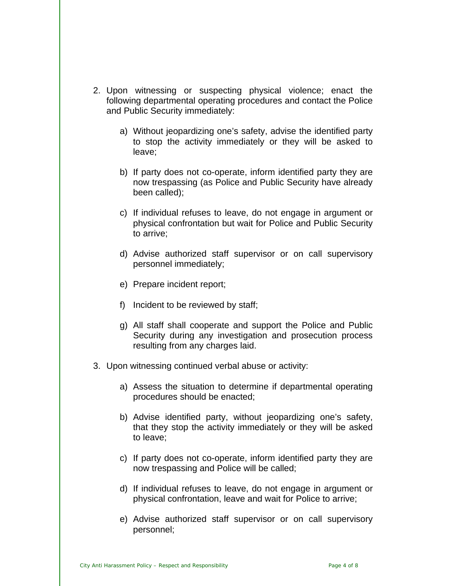- 2. Upon witnessing or suspecting physical violence; enact the following departmental operating procedures and contact the Police and Public Security immediately:
	- a) Without jeopardizing one's safety, advise the identified party to stop the activity immediately or they will be asked to leave;
	- b) If party does not co-operate, inform identified party they are now trespassing (as Police and Public Security have already been called);
	- c) If individual refuses to leave, do not engage in argument or physical confrontation but wait for Police and Public Security to arrive;
	- d) Advise authorized staff supervisor or on call supervisory personnel immediately;
	- e) Prepare incident report;
	- f) Incident to be reviewed by staff;
	- g) All staff shall cooperate and support the Police and Public Security during any investigation and prosecution process resulting from any charges laid.
- 3. Upon witnessing continued verbal abuse or activity:
	- a) Assess the situation to determine if departmental operating procedures should be enacted;
	- b) Advise identified party, without jeopardizing one's safety, that they stop the activity immediately or they will be asked to leave;
	- c) If party does not co-operate, inform identified party they are now trespassing and Police will be called;
	- d) If individual refuses to leave, do not engage in argument or physical confrontation, leave and wait for Police to arrive;
	- e) Advise authorized staff supervisor or on call supervisory personnel;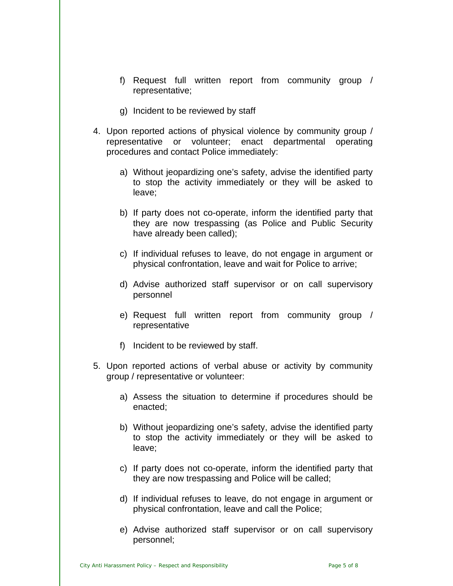- f) Request full written report from community group / representative;
- g) Incident to be reviewed by staff
- 4. Upon reported actions of physical violence by community group / representative or volunteer; enact departmental operating procedures and contact Police immediately:
	- a) Without jeopardizing one's safety, advise the identified party to stop the activity immediately or they will be asked to leave;
	- b) If party does not co-operate, inform the identified party that they are now trespassing (as Police and Public Security have already been called);
	- c) If individual refuses to leave, do not engage in argument or physical confrontation, leave and wait for Police to arrive;
	- d) Advise authorized staff supervisor or on call supervisory personnel
	- e) Request full written report from community group / representative
	- f) Incident to be reviewed by staff.
- 5. Upon reported actions of verbal abuse or activity by community group / representative or volunteer:
	- a) Assess the situation to determine if procedures should be enacted;
	- b) Without jeopardizing one's safety, advise the identified party to stop the activity immediately or they will be asked to leave;
	- c) If party does not co-operate, inform the identified party that they are now trespassing and Police will be called;
	- d) If individual refuses to leave, do not engage in argument or physical confrontation, leave and call the Police;
	- e) Advise authorized staff supervisor or on call supervisory personnel;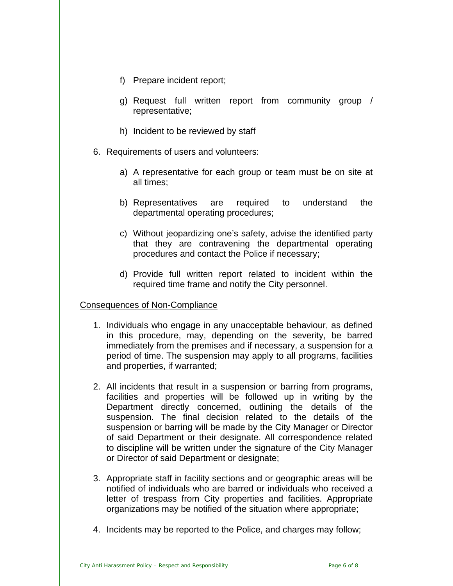- f) Prepare incident report;
- g) Request full written report from community group / representative;
- h) Incident to be reviewed by staff
- 6. Requirements of users and volunteers:
	- a) A representative for each group or team must be on site at all times;
	- b) Representatives are required to understand the departmental operating procedures;
	- c) Without jeopardizing one's safety, advise the identified party that they are contravening the departmental operating procedures and contact the Police if necessary;
	- d) Provide full written report related to incident within the required time frame and notify the City personnel.

#### Consequences of Non-Compliance

- 1. Individuals who engage in any unacceptable behaviour, as defined in this procedure, may, depending on the severity, be barred immediately from the premises and if necessary, a suspension for a period of time. The suspension may apply to all programs, facilities and properties, if warranted;
- 2. All incidents that result in a suspension or barring from programs, facilities and properties will be followed up in writing by the Department directly concerned, outlining the details of the suspension. The final decision related to the details of the suspension or barring will be made by the City Manager or Director of said Department or their designate. All correspondence related to discipline will be written under the signature of the City Manager or Director of said Department or designate;
- 3. Appropriate staff in facility sections and or geographic areas will be notified of individuals who are barred or individuals who received a letter of trespass from City properties and facilities. Appropriate organizations may be notified of the situation where appropriate;
- 4. Incidents may be reported to the Police, and charges may follow;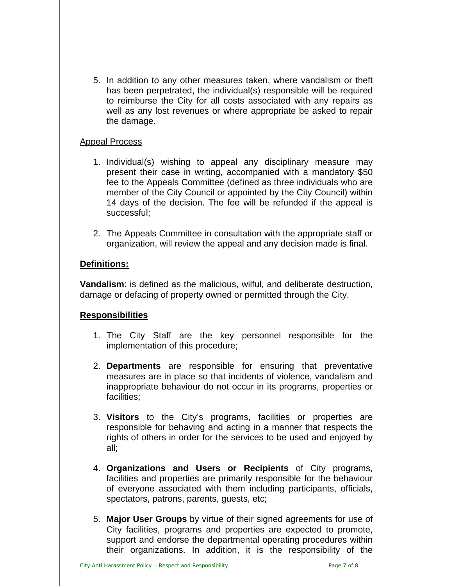5. In addition to any other measures taken, where vandalism or theft has been perpetrated, the individual(s) responsible will be required to reimburse the City for all costs associated with any repairs as well as any lost revenues or where appropriate be asked to repair the damage.

### Appeal Process

- 1. Individual(s) wishing to appeal any disciplinary measure may present their case in writing, accompanied with a mandatory \$50 fee to the Appeals Committee (defined as three individuals who are member of the City Council or appointed by the City Council) within 14 days of the decision. The fee will be refunded if the appeal is successful;
- 2. The Appeals Committee in consultation with the appropriate staff or organization, will review the appeal and any decision made is final.

# **Definitions:**

**Vandalism**: is defined as the malicious, wilful, and deliberate destruction, damage or defacing of property owned or permitted through the City.

# **Responsibilities**

- 1. The City Staff are the key personnel responsible for the implementation of this procedure;
- 2. **Departments** are responsible for ensuring that preventative measures are in place so that incidents of violence, vandalism and inappropriate behaviour do not occur in its programs, properties or facilities;
- 3. **Visitors** to the City's programs, facilities or properties are responsible for behaving and acting in a manner that respects the rights of others in order for the services to be used and enjoyed by all;
- 4. **Organizations and Users or Recipients** of City programs, facilities and properties are primarily responsible for the behaviour of everyone associated with them including participants, officials, spectators, patrons, parents, guests, etc;
- 5. **Major User Groups** by virtue of their signed agreements for use of City facilities, programs and properties are expected to promote, support and endorse the departmental operating procedures within their organizations. In addition, it is the responsibility of the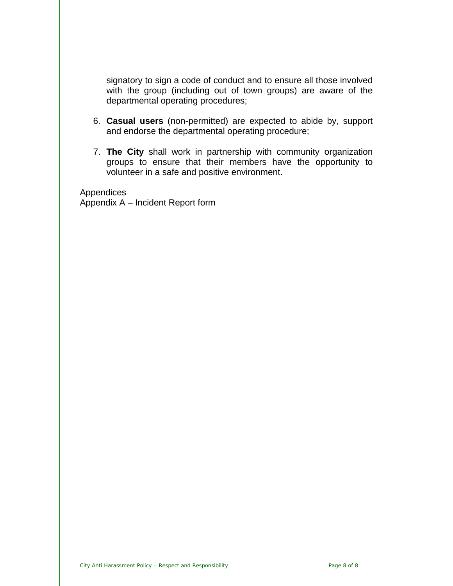signatory to sign a code of conduct and to ensure all those involved with the group (including out of town groups) are aware of the departmental operating procedures;

- 6. **Casual users** (non-permitted) are expected to abide by, support and endorse the departmental operating procedure;
- 7. **The City** shall work in partnership with community organization groups to ensure that their members have the opportunity to volunteer in a safe and positive environment.

Appendices

Appendix A – Incident Report form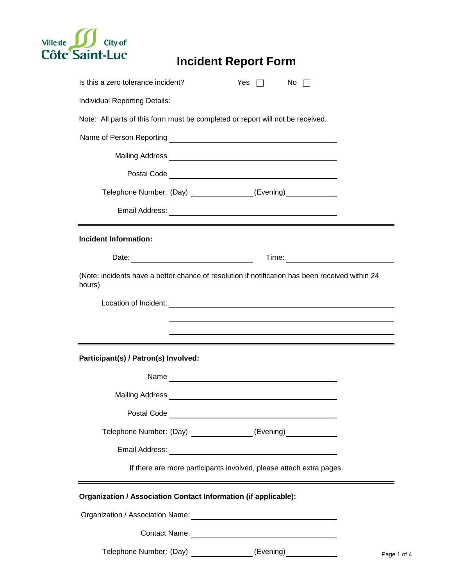

# **Incident Report Form**

| Is this a zero tolerance incident?                                                                        |                                                                                                                      | Yes | No. |                  |
|-----------------------------------------------------------------------------------------------------------|----------------------------------------------------------------------------------------------------------------------|-----|-----|------------------|
| Individual Reporting Details:                                                                             |                                                                                                                      |     |     |                  |
| Note: All parts of this form must be completed or report will not be received.                            |                                                                                                                      |     |     |                  |
|                                                                                                           |                                                                                                                      |     |     |                  |
|                                                                                                           |                                                                                                                      |     |     |                  |
|                                                                                                           |                                                                                                                      |     |     |                  |
| Telephone Number: (Day) _______________(Evening) ___________                                              |                                                                                                                      |     |     |                  |
|                                                                                                           |                                                                                                                      |     |     |                  |
| <b>Incident Information:</b>                                                                              |                                                                                                                      |     |     |                  |
| Date: Date:                                                                                               |                                                                                                                      |     |     |                  |
| (Note: incidents have a better chance of resolution if notification has been received within 24<br>hours) |                                                                                                                      |     |     |                  |
|                                                                                                           |                                                                                                                      |     |     |                  |
|                                                                                                           |                                                                                                                      |     |     |                  |
|                                                                                                           |                                                                                                                      |     |     |                  |
| Participant(s) / Patron(s) Involved:                                                                      |                                                                                                                      |     |     |                  |
|                                                                                                           |                                                                                                                      |     |     |                  |
|                                                                                                           | Mailing Address <b>Container and Container and Container and Container and Container and Container and Container</b> |     |     |                  |
|                                                                                                           |                                                                                                                      |     |     |                  |
| Telephone Number: (Day) ______________(Evening) ___________                                               |                                                                                                                      |     |     |                  |
|                                                                                                           |                                                                                                                      |     |     |                  |
|                                                                                                           | If there are more participants involved, please attach extra pages.                                                  |     |     |                  |
| Organization / Association Contact Information (if applicable):                                           |                                                                                                                      |     |     |                  |
|                                                                                                           |                                                                                                                      |     |     |                  |
|                                                                                                           |                                                                                                                      |     |     |                  |
| Telephone Number: (Day) ______________(Evening) ___________                                               |                                                                                                                      |     |     | Page <sup></sup> |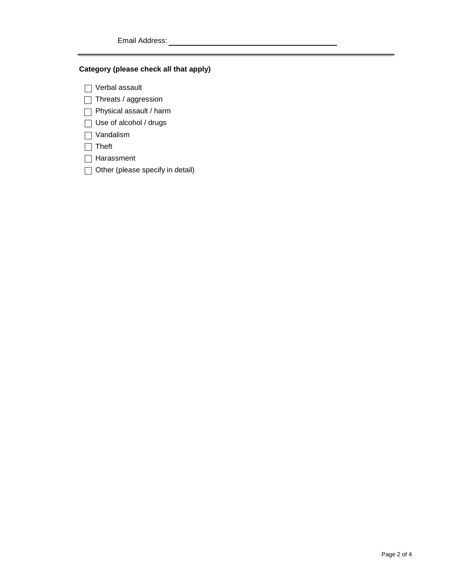#### **Category (please check all that apply)**

□ Verbal assault

- □ Threats / aggression
- Physical assault / harm
- □ Use of alcohol / drugs
- □ Vandalism
- □ Theft
- □ Harassment
- □ Other (please specify in detail)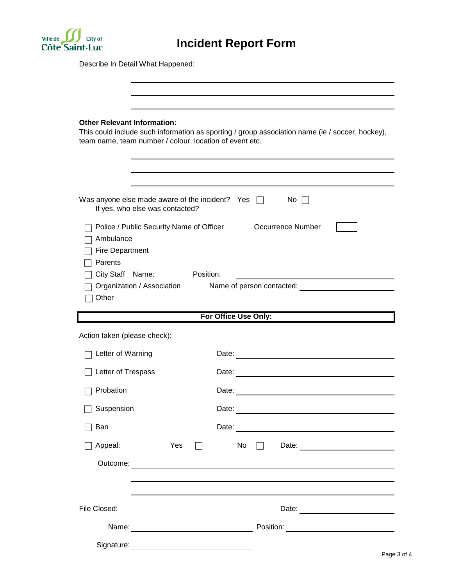

Describe In Detail What Happened:

| <b>Other Relevant Information:</b>             | This could include such information as sporting / group association name (ie / soccer, hockey),<br>team name, team number / colour, location of event etc.                                                                     |  |  |
|------------------------------------------------|--------------------------------------------------------------------------------------------------------------------------------------------------------------------------------------------------------------------------------|--|--|
|                                                |                                                                                                                                                                                                                                |  |  |
| If yes, who else was contacted?                | Was anyone else made aware of the incident? Yes $\Box$<br>$No$ $\vert \ \vert$                                                                                                                                                 |  |  |
| Ambulance<br><b>Fire Department</b><br>Parents | Police / Public Security Name of Officer<br><b>Occurrence Number</b><br>City Staff Name: Position:                                                                                                                             |  |  |
| Organization / Association<br>Other            | Name of person contacted: Name of person contacted:                                                                                                                                                                            |  |  |
|                                                | For Office Use Only:                                                                                                                                                                                                           |  |  |
| Action taken (please check):                   |                                                                                                                                                                                                                                |  |  |
| Letter of Warning                              | Date: the contract of the contract of the contract of the contract of the contract of the contract of the contract of the contract of the contract of the contract of the contract of the contract of the contract of the cont |  |  |
| Letter of Trespass                             |                                                                                                                                                                                                                                |  |  |
| Probation                                      | Date: <u>experimental</u>                                                                                                                                                                                                      |  |  |
| Suspension                                     | Date:                                                                                                                                                                                                                          |  |  |
| Ban                                            |                                                                                                                                                                                                                                |  |  |
| Appeal:                                        | Yes<br>No<br>$\Box$<br>$\perp$                                                                                                                                                                                                 |  |  |
|                                                |                                                                                                                                                                                                                                |  |  |
|                                                |                                                                                                                                                                                                                                |  |  |
| File Closed:                                   |                                                                                                                                                                                                                                |  |  |
|                                                |                                                                                                                                                                                                                                |  |  |
|                                                |                                                                                                                                                                                                                                |  |  |